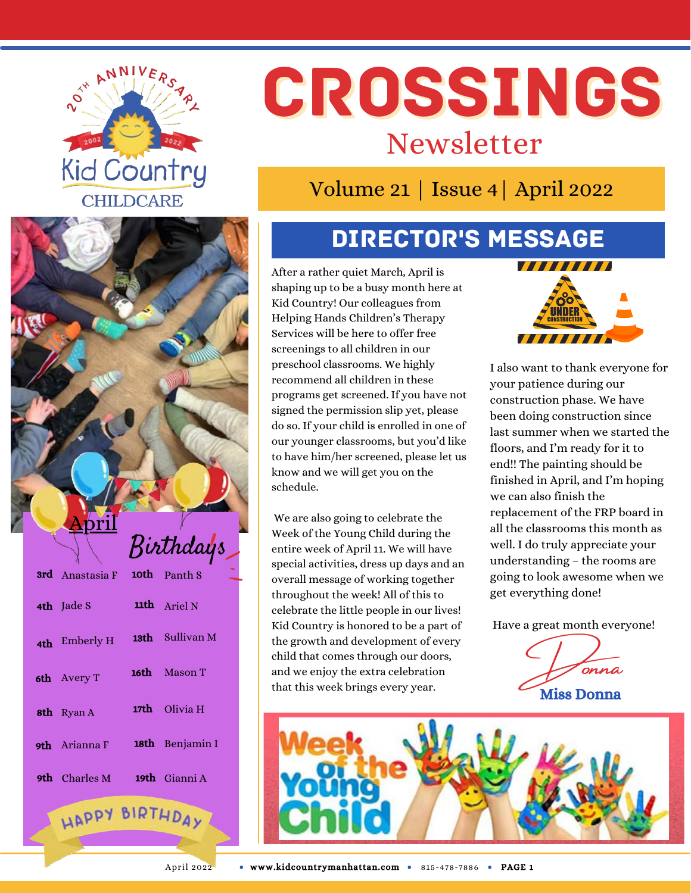

# CROSSINGS Newsletter

#### Volume 21 | Issue 4| April 2022

### Director's Message

After a rather quiet March, April is shaping up to be a busy month here at Kid Country! Our colleagues from Helping Hands Children's Therapy Services will be here to offer free screenings to all children in our preschool classrooms. We highly recommend all children in these programs get screened. If you have not signed the permission slip yet, please do so. If your child is enrolled in one of our younger classrooms, but you'd like to have him/her screened, please let us know and we will get you on the schedule.

We are also going to celebrate the Week of the Young Child during the entire week of April 11. We will have special activities, dress up days and an overall message of working together throughout the week! All of this to celebrate the little people in our lives! Kid Country is honored to be a part of the growth and development of every child that comes through our doors, and we enjoy the extra celebration that this week brings every year.



I also want to thank everyone for your patience during our construction phase. We have been doing construction since last summer when we started the floors, and I'm ready for it to end!! The painting should be finished in April, and I'm hoping we can also finish the replacement of the FRP board in all the classrooms this month as well. I do truly appreciate your understanding – the rooms are going to look awesome when we get everything done!

Have a great month everyone!

Donna Miss Donna





April

## Birthdays

| <b>3rd</b> Anastasia F <b>10th</b> Panth S |                      |
|--------------------------------------------|----------------------|
| 4th Jade S                                 | 11th Ariel N         |
| 4th Emberly H                              | 13th Sullivan M      |
| 6th Avery T                                | <b>16th</b> Mason T  |
| <b>8th</b> Ryan A                          | 17th Olivia H        |
| <b>9th</b> Arianna F                       | 18th Benjamin I      |
| <b>9th</b> Charles M                       | <b>19th</b> Gianni A |

HAPPY BIRTHDAY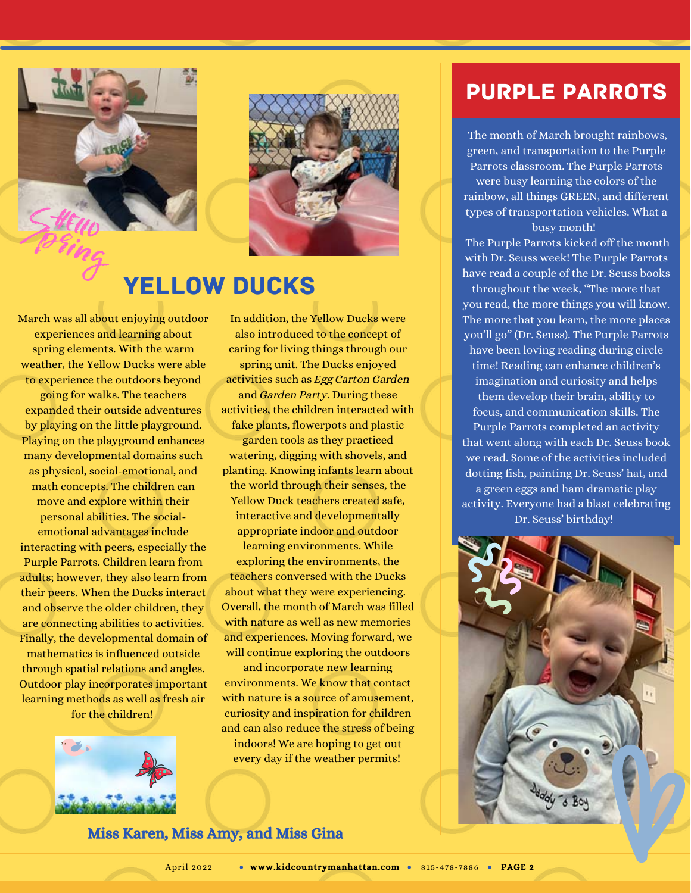



#### Yellow Ducks

March was all about enjoying outdoor experiences and learning about spring elements. With the warm weather, the Yellow Ducks were able to experience the outdoors beyond going for walks. The teachers expanded their outside adventures by playing on the little playground. Playing on the playground enhances many developmental domains such as physical, social-emotional, and math concepts. The children can move and explore within their personal abilities. The socialemotional advantages include interacting with peers, especially the Purple Parrots. Children learn from adults; however, they also learn from their peers. When the Ducks interact and observe the older children, they are connecting abilities to activities. Finally, the developmental domain of mathematics is influenced outside through spatial relations and angles. Outdoor play incorporates important learning methods as well as fresh air for the children!

 $\cdot$   $\frac{1}{2}$ 



In addition, the Yellow Ducks were also introduced to the concept of caring for living things through our spring unit. The Ducks enjoyed activities such as Egg Carton Garden and Garden Party. During these activities, the children interacted with fake plants, flowerpots and plastic garden tools as they practiced watering, digging with shovels, and planting. Knowing infants learn about the world through their senses, the Yellow Duck teachers created safe, interactive and developmentally appropriate indoor and outdoor learning environments. While

exploring the environments, the teachers conversed with the Ducks about what they were experiencing. Overall, the month of March was filled with nature as well as new memories and experiences. Moving forward, we will continue exploring the outdoors

and incorporate new learning environments. We know that contact with nature is a source of amusement, curiosity and inspiration for children and can also reduce the stress of being indoors! We are hoping to get out every day if the weather permits!

#### Purple Parrots

The month of March brought rainbows, green, and transportation to the Purple Parrots classroom. The Purple Parrots

were busy learning the colors of the rainbow, all things GREEN, and different types of transportation vehicles. What a busy month!

The Purple Parrots kicked off the month with Dr. Seuss week! The Purple Parrots have read a couple of the Dr. Seuss books

throughout the week, "The more that you read, the more things you will know. The more that you learn, the more places you'll go" (Dr. Seuss). The Purple Parrots have been loving reading during circle time! Reading can enhance children's imagination and curiosity and helps them develop their brain, ability to focus, and communication skills. The Purple Parrots completed an activity that went along with each Dr. Seuss book we read. Some of the activities included dotting fish, painting Dr. Seuss' hat, and a green eggs and ham dramatic play activity. Everyone had a blast celebrating Dr. Seuss' birthday!



Miss Karen, Miss Amy, and Miss Gina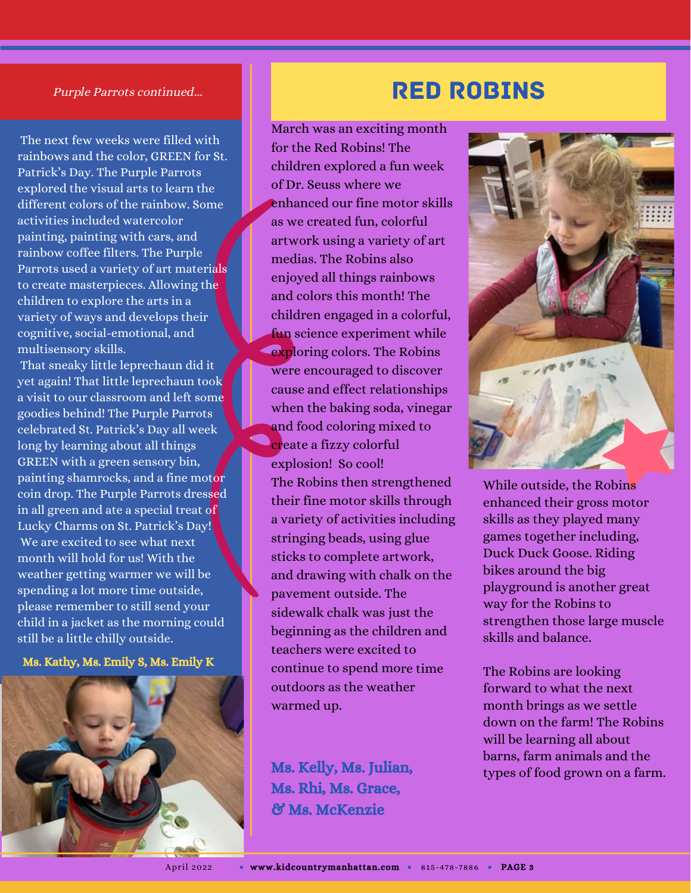#### Purple Parrots continued...

The next few weeks were filled with rainbows and the color, GREEN for St. Patrick's Day. The Purple Parrots explored the visual arts to learn the different colors of the rainbow. Some activities included watercolor painting, painting with cars, and rainbow coffee filters. The Purple Parrots used a variety of art materials to create masterpieces. Allowing the children to explore the arts in a variety of ways and develops their cognitive, social-emotional, and multisensory skills.

That sneaky little leprechaun did it yet again! That little leprechaun took a visit to our classroom and left some goodies behind! The Purple Parrots celebrated St. Patrick's Day all week long by learning about all things GREEN with a green sensory bin, painting shamrocks, and a fine motor coin drop. The Purple Parrots dressed in all green and ate a special treat of Lucky Charms on St. Patrick's Day! We are excited to see what next month will hold for us! With the weather getting warmer we will be spending a lot more time outside, please remember to still send your child in a jacket as the morning could still be a little chilly outside.

Ms. Kathy, Ms. Emily S, Ms. Emily K



#### Red Robins

March was an exciting month for the Red Robins! The children explored a fun week of Dr. Seuss where we enhanced our fine motor skills as we created fun, colorful artwork using a variety of art medias. The Robins also enjoyed all things rainbows and colors this month! The children engaged in a colorful, fun science experiment while exploring colors. The Robins were encouraged to discover cause and effect relationships when the baking soda, vinegar and food coloring mixed to create a fizzy colorful explosion! So cool! The Robins then strengthened their fine motor skills through a variety of activities including stringing beads, using glue sticks to complete artwork, and drawing with chalk on the pavement outside. The sidewalk chalk was just the beginning as the children and teachers were excited to continue to spend more time outdoors as the weather warmed up.

Ms. Rhi, Ms. Grace, & Ms. McKenzie



While outside, the Robins enhanced their gross motor skills as they played many games together including, Duck Duck Goose. Riding bikes around the big playground is another great way for the Robins to strengthen those large muscle skills and balance.

The Robins are looking forward to what the next month brings as we settle down on the farm! The Robins will be learning all about barns, farm animals and the Ms. Kelly, Ms. Julian, types of food grown on a farm.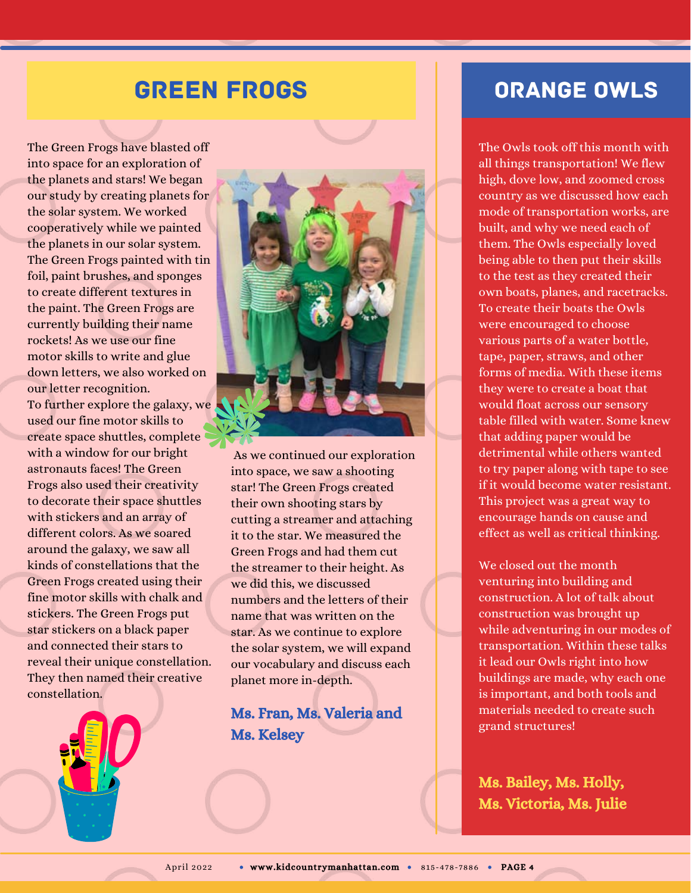#### Green Frogs

The Green Frogs have blasted off into space for an exploration of the planets and stars! We began our study by creating planets for the solar system. We worked cooperatively while we painted the planets in our solar system. The Green Frogs painted with tin foil, paint brushes, and sponges to create different textures in the paint. The Green Frogs are currently building their name rockets! As we use our fine motor skills to write and glue down letters, we also worked on our letter recognition. To further explore the galaxy, we used our fine motor skills to create space shuttles, complete with a window for our bright astronauts faces! The Green Frogs also used their creativity to decorate their space shuttles with stickers and an array of different colors. As we soared around the galaxy, we saw all kinds of constellations that the Green Frogs created using their fine motor skills with chalk and stickers. The Green Frogs put star stickers on a black paper and connected their stars to reveal their unique constellation. They then named their creative constellation.





As we continued our exploration into space, we saw a shooting star! The Green Frogs created their own shooting stars by cutting a streamer and attaching it to the star. We measured the Green Frogs and had them cut the streamer to their height. As we did this, we discussed numbers and the letters of their name that was written on the star. As we continue to explore the solar system, we will expand our vocabulary and discuss each planet more in-depth.

#### Ms. Fran, Ms. Valeria and Ms. Kelsey

#### Orange Owls

The Owls took off this month with all things transportation! We flew high, dove low, and zoomed cross country as we discussed how each mode of transportation works, are built, and why we need each of them. The Owls especially loved being able to then put their skills to the test as they created their own boats, planes, and racetracks. To create their boats the Owls were encouraged to choose various parts of a water bottle, tape, paper, straws, and other forms of media. With these items they were to create a boat that would float across our sensory table filled with water. Some knew that adding paper would be detrimental while others wanted to try paper along with tape to see if it would become water resistant. This project was a great way to encourage hands on cause and effect as well as critical thinking.

We closed out the month venturing into building and construction. A lot of talk about construction was brought up while adventuring in our modes of transportation. Within these talks it lead our Owls right into how buildings are made, why each one is important, and both tools and materials needed to create such grand structures!

Ms. Bailey, Ms. Holly, Ms. Victoria, Ms. Julie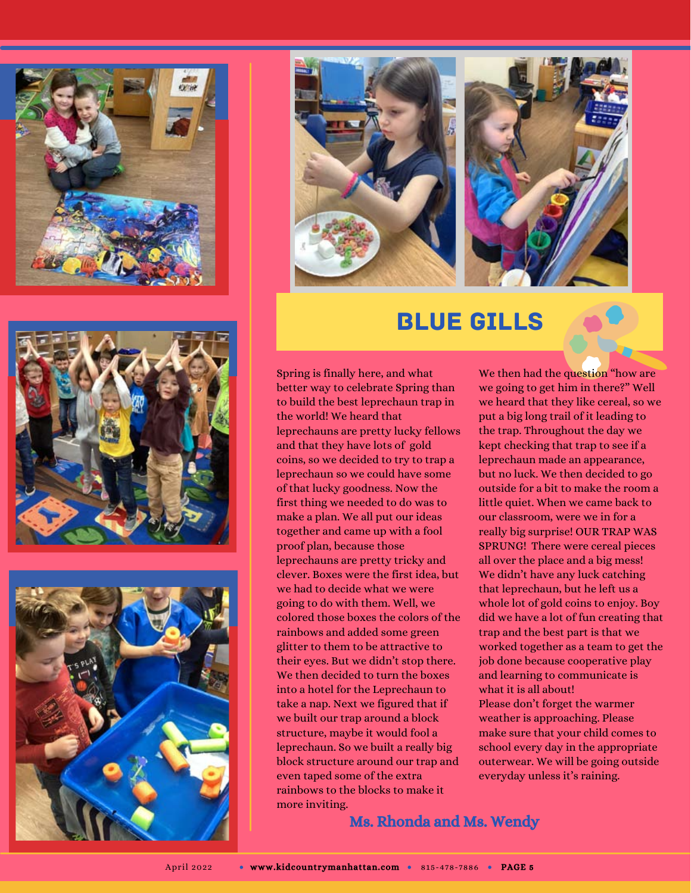







#### Blue Gills

Spring is finally here, and what better way to celebrate Spring than to build the best leprechaun trap in the world! We heard that leprechauns are pretty lucky fellows and that they have lots of gold coins, so we decided to try to trap a leprechaun so we could have some of that lucky goodness. Now the first thing we needed to do was to make a plan. We all put our ideas together and came up with a fool proof plan, because those leprechauns are pretty tricky and clever. Boxes were the first idea, but we had to decide what we were going to do with them. Well, we colored those boxes the colors of the rainbows and added some green glitter to them to be attractive to their eyes. But we didn't stop there. We then decided to turn the boxes into a hotel for the Leprechaun to take a nap. Next we figured that if we built our trap around a block structure, maybe it would fool a leprechaun. So we built a really big block structure around our trap and even taped some of the extra rainbows to the blocks to make it more inviting.

We then had the question "how are we going to get him in there?" Well we heard that they like cereal, so we put a big long trail of it leading to the trap. Throughout the day we kept checking that trap to see if a leprechaun made an appearance, but no luck. We then decided to go outside for a bit to make the room a little quiet. When we came back to our classroom, were we in for a really big surprise! OUR TRAP WAS SPRUNG! There were cereal pieces all over the place and a big mess! We didn't have any luck catching that leprechaun, but he left us a whole lot of gold coins to enjoy. Boy did we have a lot of fun creating that trap and the best part is that we worked together as a team to get the job done because cooperative play and learning to communicate is what it is all about! Please don't forget the warmer weather is approaching. Please make sure that your child comes to school every day in the appropriate outerwear. We will be going outside

everyday unless it's raining.

Ms. Rhonda and Ms. Wendy